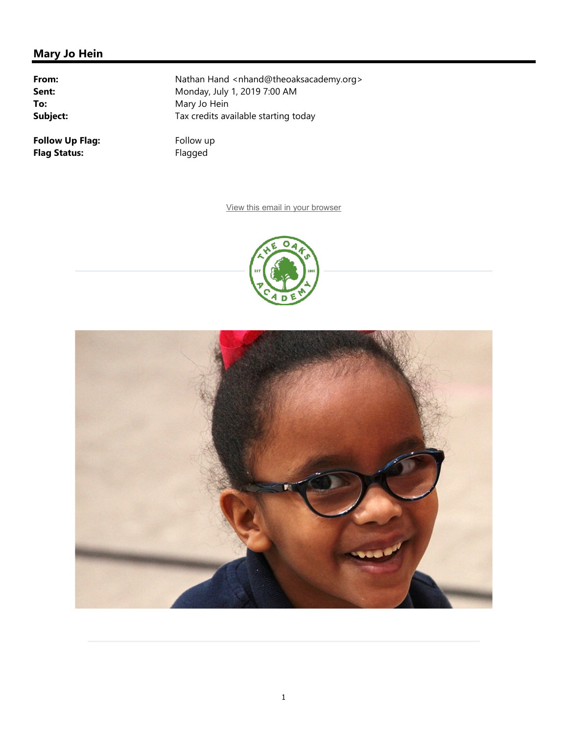#### Mary Jo Hein

**Follow Up Flag:** Follow up<br> **Flag Status:** Flagged Flag Status:

From: Nathan Hand <nhand@theoaksacademy.org> **Sent:** Monday, July 1, 2019 7:00 AM To: Mary Jo Hein Subject: Tax credits available starting today

View this email in your browser



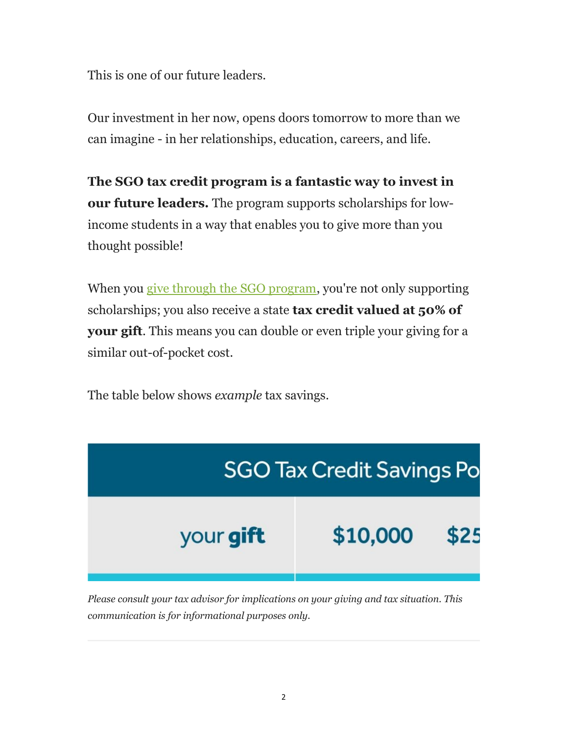This is one of our future leaders.

Our investment in her now, opens doors tomorrow to more than we can imagine - in her relationships, education, careers, and life.

The SGO tax credit program is a fantastic way to invest in our future leaders. The program supports scholarships for lowincome students in a way that enables you to give more than you thought possible!

When you give through the SGO program, you're not only supporting scholarships; you also receive a state tax credit valued at 50% of **your gift.** This means you can double or even triple your giving for a similar out-of-pocket cost.

The table below shows example tax savings.



Please consult your tax advisor for implications on your giving and tax situation. This communication is for informational purposes only.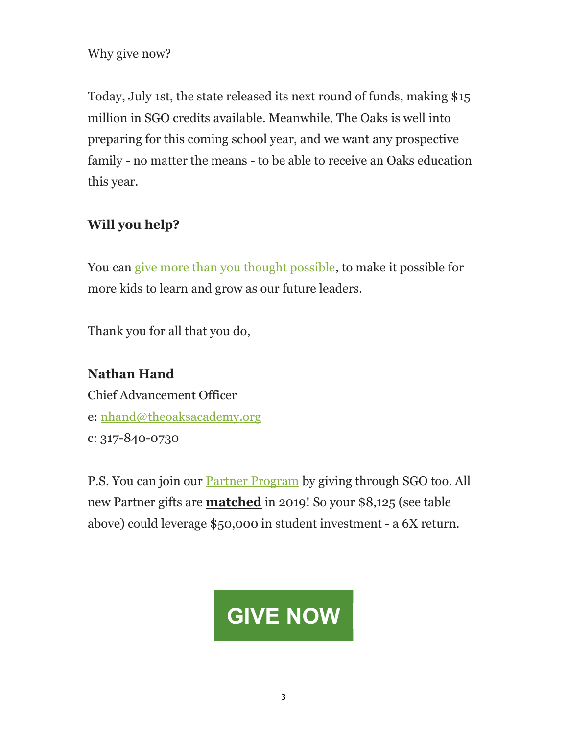#### Why give now?

Today, July 1st, the state released its next round of funds, making \$15 million in SGO credits available. Meanwhile, The Oaks is well into preparing for this coming school year, and we want any prospective family - no matter the means - to be able to receive an Oaks education this year.

### Will you help?

You can give more than you thought possible, to make it possible for more kids to learn and grow as our future leaders.

Thank you for all that you do,

#### Nathan Hand

Chief Advancement Officer e: nhand@theoaksacademy.org c: 317-840-0730

P.S. You can join our Partner Program by giving through SGO too. All new Partner gifts are matched in 2019! So your \$8,125 (see table above) could leverage \$50,000 in student investment - a 6X return.

# GIVE NOW